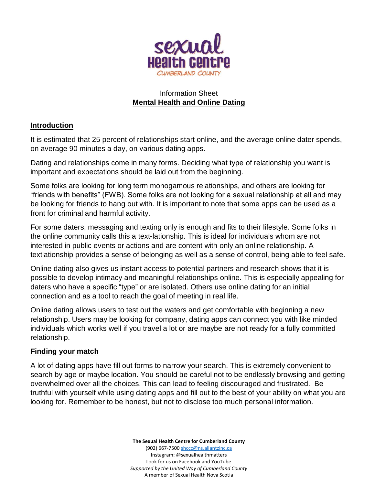

# Information Sheet **Mental Health and Online Dating**

# **Introduction**

It is estimated that 25 percent of relationships start online, and the average online dater spends, on average 90 minutes a day, on various dating apps.

Dating and relationships come in many forms. Deciding what type of relationship you want is important and expectations should be laid out from the beginning.

Some folks are looking for long term monogamous relationships, and others are looking for "friends with benefits" (FWB). Some folks are not looking for a sexual relationship at all and may be looking for friends to hang out with. It is important to note that some apps can be used as a front for criminal and harmful activity.

For some daters, messaging and texting only is enough and fits to their lifestyle. Some folks in the online community calls this a text-lationship. This is ideal for individuals whom are not interested in public events or actions and are content with only an online relationship. A textlationship provides a sense of belonging as well as a sense of control, being able to feel safe.

Online dating also gives us instant access to potential partners and research shows that it is possible to develop intimacy and meaningful relationships online. This is especially appealing for daters who have a specific "type" or are isolated. Others use online dating for an initial connection and as a tool to reach the goal of meeting in real life.

Online dating allows users to test out the waters and get comfortable with beginning a new relationship. Users may be looking for company, dating apps can connect you with like minded individuals which works well if you travel a lot or are maybe are not ready for a fully committed relationship.

# **Finding your match**

A lot of dating apps have fill out forms to narrow your search. This is extremely convenient to search by age or maybe location. You should be careful not to be endlessly browsing and getting overwhelmed over all the choices. This can lead to feeling discouraged and frustrated. Be truthful with yourself while using dating apps and fill out to the best of your ability on what you are looking for. Remember to be honest, but not to disclose too much personal information.

**The Sexual Health Centre for Cumberland County**

(902) 667-750[0 shccc@ns.aliantzinc.ca](mailto:shccc@ns.aliantzinc.ca) Instagram: @sexualhealthmatters Look for us on Facebook and YouTube *Supported by the United Way of Cumberland County* A member of Sexual Health Nova Scotia